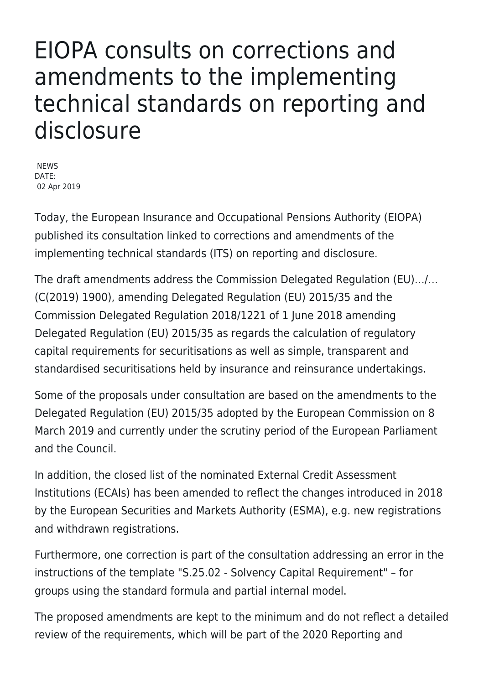## EIOPA consults on corrections and amendments to the implementing technical standards on reporting and disclosure

NEWS DATE: 02 Apr 2019

Today, the European Insurance and Occupational Pensions Authority (EIOPA) published its consultation linked to corrections and amendments of the implementing technical standards (ITS) on reporting and disclosure.

The draft amendments address the Commission Delegated Regulation (EU)…/… (C(2019) 1900), amending Delegated Regulation (EU) 2015/35 and the Commission Delegated Regulation 2018/1221 of 1 June 2018 amending Delegated Regulation (EU) 2015/35 as regards the calculation of regulatory capital requirements for securitisations as well as simple, transparent and standardised securitisations held by insurance and reinsurance undertakings.

Some of the proposals under consultation are based on the amendments to the Delegated Regulation (EU) 2015/35 adopted by the European Commission on 8 March 2019 and currently under the scrutiny period of the European Parliament and the Council.

In addition, the closed list of the nominated External Credit Assessment Institutions (ECAIs) has been amended to reflect the changes introduced in 2018 by the European Securities and Markets Authority (ESMA), e.g. new registrations and withdrawn registrations.

Furthermore, one correction is part of the consultation addressing an error in the instructions of the template "S.25.02 - Solvency Capital Requirement" – for groups using the standard formula and partial internal model.

The proposed amendments are kept to the minimum and do not reflect a detailed review of the requirements, which will be part of the 2020 Reporting and